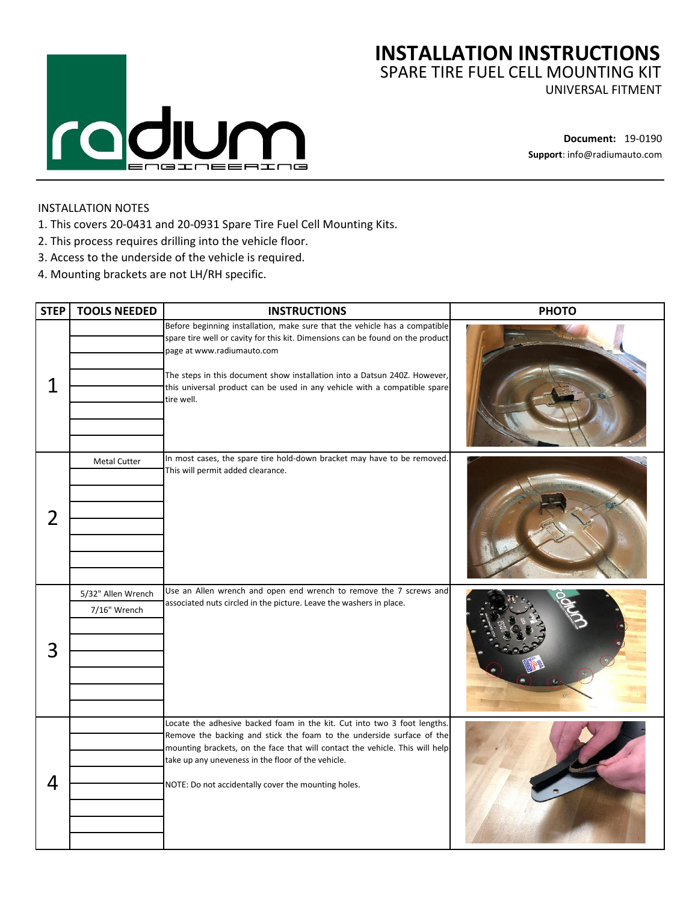

## **INSTALLATION INSTRUCTIONS** SPARE TIRE FUEL CELL MOUNTING KIT

UNIVERSAL FITMENT

**Document:** 19-0190 **Support**: info@radiumauto.com

## INSTALLATION NOTES

- 1. This covers 20-0431 and 20-0931 Spare Tire Fuel Cell Mounting Kits.
- 2. This process requires drilling into the vehicle floor.
- 3. Access to the underside of the vehicle is required.
- 4. Mounting brackets are not LH/RH specific.

| <b>STEP</b>    | <b>TOOLS NEEDED</b>                | <b>INSTRUCTIONS</b>                                                                                                                                                                                                                                                                                                                                                | <b>PHOTO</b> |
|----------------|------------------------------------|--------------------------------------------------------------------------------------------------------------------------------------------------------------------------------------------------------------------------------------------------------------------------------------------------------------------------------------------------------------------|--------------|
| 1              |                                    | Before beginning installation, make sure that the vehicle has a compatible<br>spare tire well or cavity for this kit. Dimensions can be found on the product<br>page at www.radiumauto.com<br>The steps in this document show installation into a Datsun 240Z. However,<br>this universal product can be used in any vehicle with a compatible spare<br>tire well. |              |
| $\overline{2}$ | <b>Metal Cutter</b>                | In most cases, the spare tire hold-down bracket may have to be removed.<br>This will permit added clearance.                                                                                                                                                                                                                                                       |              |
| 3              | 5/32" Allen Wrench<br>7/16" Wrench | Use an Allen wrench and open end wrench to remove the 7 screws and<br>associated nuts circled in the picture. Leave the washers in place.                                                                                                                                                                                                                          |              |
| 4              |                                    | Locate the adhesive backed foam in the kit. Cut into two 3 foot lengths.<br>Remove the backing and stick the foam to the underside surface of the<br>mounting brackets, on the face that will contact the vehicle. This will help<br>take up any uneveness in the floor of the vehicle.<br>NOTE: Do not accidentally cover the mounting holes.                     |              |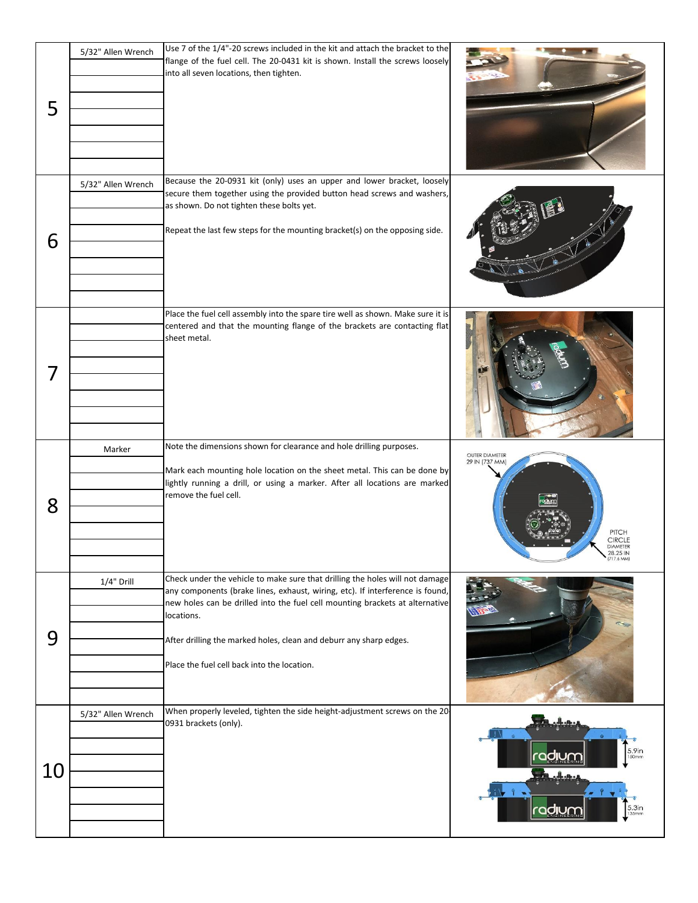| 5 | 5/32" Allen Wrench | Use 7 of the 1/4"-20 screws included in the kit and attach the bracket to the<br>flange of the fuel cell. The 20-0431 kit is shown. Install the screws loosely<br>into all seven locations, then tighten.                                                                                                                                                                        |                                                                               |
|---|--------------------|----------------------------------------------------------------------------------------------------------------------------------------------------------------------------------------------------------------------------------------------------------------------------------------------------------------------------------------------------------------------------------|-------------------------------------------------------------------------------|
| 6 | 5/32" Allen Wrench | Because the 20-0931 kit (only) uses an upper and lower bracket, loosely<br>secure them together using the provided button head screws and washers,<br>as shown. Do not tighten these bolts yet.<br>Repeat the last few steps for the mounting bracket(s) on the opposing side.                                                                                                   |                                                                               |
| 7 |                    | Place the fuel cell assembly into the spare tire well as shown. Make sure it is<br>centered and that the mounting flange of the brackets are contacting flat<br>sheet metal.                                                                                                                                                                                                     |                                                                               |
|   | Marker             | Note the dimensions shown for clearance and hole drilling purposes.<br>Mark each mounting hole location on the sheet metal. This can be done by<br>lightly running a drill, or using a marker. After all locations are marked<br>remove the fuel cell.                                                                                                                           | <b>OUTER DIAMETER</b><br>29 IN (737 MM)                                       |
| 8 |                    |                                                                                                                                                                                                                                                                                                                                                                                  | PITCH<br>CIRCLE<br>DIAMETER<br>$\sum_{(717.6 \text{ MM})}^{28.25 \text{ IN}}$ |
| 9 | 1/4" Drill         | Check under the vehicle to make sure that drilling the holes will not damage<br>any components (brake lines, exhaust, wiring, etc). If interference is found,<br>new holes can be drilled into the fuel cell mounting brackets at alternative<br>locations.<br>After drilling the marked holes, clean and deburr any sharp edges.<br>Place the fuel cell back into the location. |                                                                               |